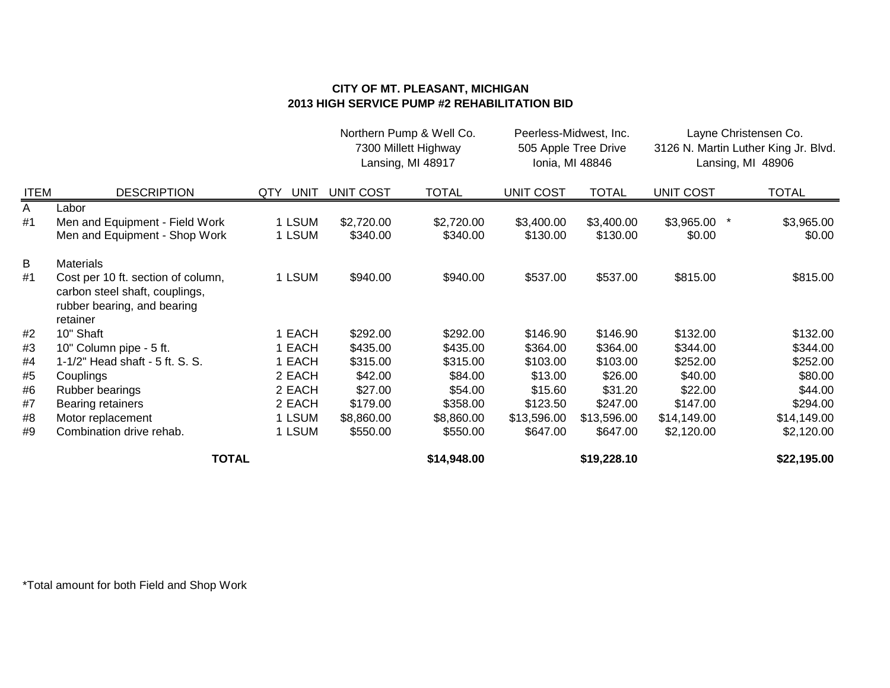## **CITY OF MT. PLEASANT, MICHIGAN 2013 HIGH SERVICE PUMP #2 REHABILITATION BID**

|             |                                                                                                                 |                    |                  | Northern Pump & Well Co.<br>7300 Millett Highway<br>Lansing, MI 48917 | Peerless-Midwest, Inc. | 505 Apple Tree Drive<br>Ionia, MI 48846 |                  | Layne Christensen Co.<br>3126 N. Martin Luther King Jr. Blvd.<br>Lansing, MI 48906 |
|-------------|-----------------------------------------------------------------------------------------------------------------|--------------------|------------------|-----------------------------------------------------------------------|------------------------|-----------------------------------------|------------------|------------------------------------------------------------------------------------|
| <b>ITEM</b> | <b>DESCRIPTION</b>                                                                                              | <b>UNIT</b><br>QTY | <b>UNIT COST</b> | <b>TOTAL</b>                                                          | <b>UNIT COST</b>       | <b>TOTAL</b>                            | <b>UNIT COST</b> | <b>TOTAL</b>                                                                       |
| A           | Labor                                                                                                           |                    |                  |                                                                       |                        |                                         |                  |                                                                                    |
| #1          | Men and Equipment - Field Work                                                                                  | 1 LSUM             | \$2,720.00       | \$2,720.00                                                            | \$3,400.00             | \$3,400.00                              | \$3,965.00       | \$3,965.00                                                                         |
|             | Men and Equipment - Shop Work                                                                                   | 1 LSUM             | \$340.00         | \$340.00                                                              | \$130.00               | \$130.00                                | \$0.00           | \$0.00                                                                             |
| B           | <b>Materials</b>                                                                                                |                    |                  |                                                                       |                        |                                         |                  |                                                                                    |
| #1          | Cost per 10 ft. section of column,<br>carbon steel shaft, couplings,<br>rubber bearing, and bearing<br>retainer | 1 LSUM             | \$940.00         | \$940.00                                                              | \$537.00               | \$537.00                                | \$815.00         | \$815.00                                                                           |
| #2          | 10" Shaft                                                                                                       | 1 EACH             | \$292.00         | \$292.00                                                              | \$146.90               | \$146.90                                | \$132.00         | \$132.00                                                                           |
| #3          | 10" Column pipe - 5 ft.                                                                                         | 1 EACH             | \$435.00         | \$435.00                                                              | \$364.00               | \$364.00                                | \$344.00         | \$344.00                                                                           |
| #4          | 1-1/2" Head shaft - 5 ft. S. S.                                                                                 | 1 EACH             | \$315.00         | \$315.00                                                              | \$103.00               | \$103.00                                | \$252.00         | \$252.00                                                                           |
| #5          | Couplings                                                                                                       | 2 EACH             | \$42.00          | \$84.00                                                               | \$13.00                | \$26.00                                 | \$40.00          | \$80.00                                                                            |
| #6          | <b>Rubber bearings</b>                                                                                          | 2 EACH             | \$27.00          | \$54.00                                                               | \$15.60                | \$31.20                                 | \$22.00          | \$44.00                                                                            |
| #7          | Bearing retainers                                                                                               | 2 EACH             | \$179.00         | \$358.00                                                              | \$123.50               | \$247.00                                | \$147.00         | \$294.00                                                                           |
| #8          | Motor replacement                                                                                               | 1 LSUM             | \$8,860.00       | \$8,860.00                                                            | \$13,596.00            | \$13,596.00                             | \$14,149.00      | \$14,149.00                                                                        |
| #9          | Combination drive rehab.                                                                                        | 1 LSUM             | \$550.00         | \$550.00                                                              | \$647.00               | \$647.00                                | \$2,120.00       | \$2,120.00                                                                         |
|             | <b>TOTAL</b>                                                                                                    |                    |                  | \$14,948.00                                                           |                        | \$19,228.10                             |                  | \$22,195.00                                                                        |

\*Total amount for both Field and Shop Work